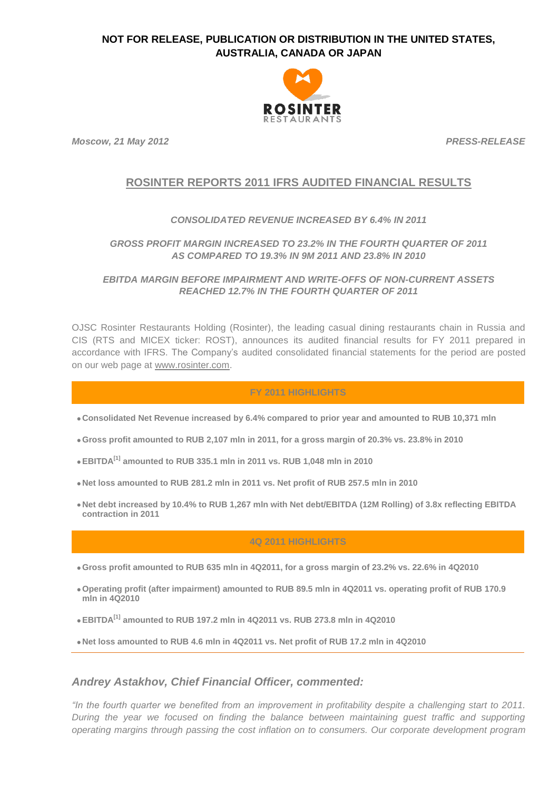

*Moscow, 21 May 2012 PRESS-RELEASE*

# **ROSINTER REPORTS 2011 IFRS AUDITED FINANCIAL RESULTS**

### *CONSOLIDATED REVENUE INCREASED BY 6.4% IN 2011*

## *GROSS PROFIT MARGIN INCREASED TO 23.2% IN THE FOURTH QUARTER OF 2011 AS COMPARED TO 19.3% IN 9M 2011 AND 23.8% IN 2010*

*EBITDA MARGIN BEFORE IMPAIRMENT AND WRITE-OFFS OF NON-CURRENT ASSETS REACHED 12.7% IN THE FOURTH QUARTER OF 2011*

OJSC Rosinter Restaurants Holding (Rosinter), the leading casual dining restaurants chain in Russia and CIS (RTS and MICEX ticker: ROST), announces its audited financial results for FY 2011 prepared in accordance with IFRS. The Company's audited consolidated financial statements for the period are posted on our web page at [www.rosinter.com.](http://www.rosinter.com/)

### **FY 2011 HIGHLIGHTS**

**Consolidated Net Revenue increased by 6.4% compared to prior year and amounted to RUB 10,371 mln**

- **Gross profit amounted to RUB 2,107 mln in 2011, for a gross margin of 20.3% vs. 23.8% in 2010**
- **EBITDA[1] amounted to RUB 335.1 mln in 2011 vs. RUB 1,048 mln in 2010**
- **Net loss amounted to RUB 281.2 mln in 2011 vs. Net profit of RUB 257.5 mln in 2010**
- **Net debt increased by 10.4% to RUB 1,267 mln with Net debt/EBITDA (12M Rolling) of 3.8x reflecting EBITDA contraction in 2011**

### **4Q 2011 HIGHLIGHTS**

- **Gross profit amounted to RUB 635 mln in 4Q2011, for a gross margin of 23.2% vs. 22.6% in 4Q2010**
- **Operating profit (after impairment) amounted to RUB 89.5 mln in 4Q2011 vs. operating profit of RUB 170.9 mln in 4Q2010**
- **EBITDA[1] amounted to RUB 197.2 mln in 4Q2011 vs. RUB 273.8 mln in 4Q2010**
- **Net loss amounted to RUB 4.6 mln in 4Q2011 vs. Net profit of RUB 17.2 mln in 4Q2010**

### *Andrey Astakhov, Chief Financial Officer, commented:*

*"In the fourth quarter we benefited from an improvement in profitability despite a challenging start to 2011. During the year we focused on finding the balance between maintaining guest traffic and supporting operating margins through passing the cost inflation on to consumers. Our corporate development program*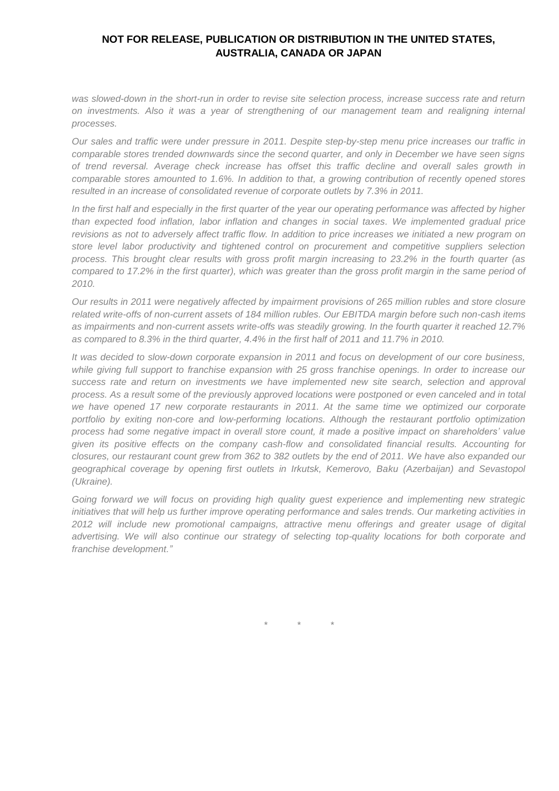*was slowed-down in the short-run in order to revise site selection process, increase success rate and return on investments. Also it was a year of strengthening of our management team and realigning internal processes.* 

*Our sales and traffic were under pressure in 2011. Despite step-by-step menu price increases our traffic in comparable stores trended downwards since the second quarter, and only in December we have seen signs of trend reversal. Average check increase has offset this traffic decline and overall sales growth in comparable stores amounted to 1.6%. In addition to that, a growing contribution of recently opened stores resulted in an increase of consolidated revenue of corporate outlets by 7.3% in 2011.*

*In the first half and especially in the first quarter of the year our operating performance was affected by higher than expected food inflation, labor inflation and changes in social taxes. We implemented gradual price revisions as not to adversely affect traffic flow. In addition to price increases we initiated a new program on store level labor productivity and tightened control on procurement and competitive suppliers selection process. This brought clear results with gross profit margin increasing to 23.2% in the fourth quarter (as compared to 17.2% in the first quarter), which was greater than the gross profit margin in the same period of 2010.*

*Our results in 2011 were negatively affected by impairment provisions of 265 million rubles and store closure related write-offs of non-current assets of 184 million rubles. Our EBITDA margin before such non-cash items as impairments and non-current assets write-offs was steadily growing. In the fourth quarter it reached 12.7% as compared to 8.3% in the third quarter, 4.4% in the first half of 2011 and 11.7% in 2010.*

*It was decided to slow-down corporate expansion in 2011 and focus on development of our core business, while giving full support to franchise expansion with 25 gross franchise openings. In order to increase our success rate and return on investments we have implemented new site search, selection and approval process. As a result some of the previously approved locations were postponed or even canceled and in total we have opened 17 new corporate restaurants in 2011. At the same time we optimized our corporate portfolio by exiting non-core and low-performing locations. Although the restaurant portfolio optimization process had some negative impact in overall store count, it made a positive impact on shareholders' value given its positive effects on the company cash-flow and consolidated financial results. Accounting for closures, our restaurant count grew from 362 to 382 outlets by the end of 2011. We have also expanded our geographical coverage by opening first outlets in Irkutsk, Kemerovo, Baku (Azerbaijan) and Sevastopol (Ukraine).*

*Going forward we will focus on providing high quality guest experience and implementing new strategic initiatives that will help us further improve operating performance and sales trends. Our marketing activities in 2012 will include new promotional campaigns, attractive menu offerings and greater usage of digital advertising. We will also continue our strategy of selecting top-quality locations for both corporate and franchise development."*

*\* \* \**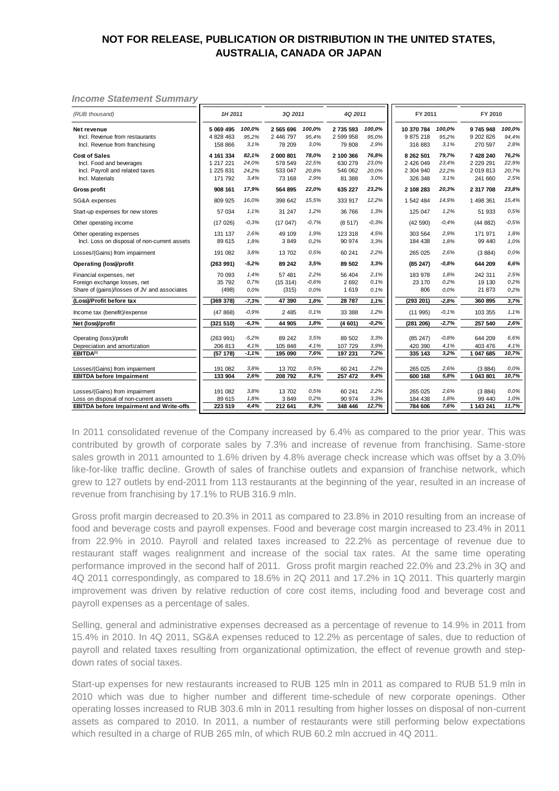#### *Income Statement Summary*

| (RUB thousand)                                                                                          | 1H 2011                                        |                                 | 3Q 2011                                   |                                 | 4Q 2011                                   |                                 | FY 2011                                        |                                 | FY 2010                                            |                                 |
|---------------------------------------------------------------------------------------------------------|------------------------------------------------|---------------------------------|-------------------------------------------|---------------------------------|-------------------------------------------|---------------------------------|------------------------------------------------|---------------------------------|----------------------------------------------------|---------------------------------|
| Net revenue<br>Incl. Revenue from restaurants<br>Incl. Revenue from franchising                         | 5 069 495<br>4 828 463<br>158 866              | 100,0%<br>95,2%<br>3.1%         | 2 565 696<br>2 446 797<br>78 209          | 100,0%<br>95,4%<br>3,0%         | 2 735 593<br>2 599 958<br>79 808          | 100,0%<br>95,0%<br>2,9%         | 10 370 784<br>9 875 218<br>316 883             | 100,0%<br>95,2%<br>3.1%         | 9745948<br>9 202 826<br>270 597                    | 100,0%<br>94,4%<br>2,8%         |
| <b>Cost of Sales</b><br>Incl. Food and beverages<br>Incl. Payroll and related taxes<br>Incl. Materials  | 4 161 334<br>1 217 221<br>1 225 831<br>171 792 | 82.1%<br>24,0%<br>24,2%<br>3.4% | 2 000 801<br>578 549<br>533 047<br>73 168 | 78.0%<br>22,5%<br>20,8%<br>2,9% | 2 100 366<br>630 279<br>546 062<br>81 388 | 76.8%<br>23,0%<br>20,0%<br>3.0% | 8 262 501<br>2 426 049<br>2 304 940<br>326 348 | 79.7%<br>23,4%<br>22,2%<br>3.1% | 7 428 240<br>2 2 2 9 2 9 1<br>2 019 813<br>241 660 | 76,2%<br>22,9%<br>20,7%<br>2.5% |
| <b>Gross profit</b>                                                                                     | 908 161                                        | 17,9%                           | 564 895                                   | 22,0%                           | 635 227                                   | 23,2%                           | 2 108 283                                      | 20.3%                           | 2 317 708                                          | 23,8%                           |
| SG&A expenses                                                                                           | 809 925                                        | 16,0%                           | 398 642                                   | 15,5%                           | 333 917                                   | 12,2%                           | 1 542 484                                      | 14,9%                           | 1 498 361                                          | 15,4%                           |
| Start-up expenses for new stores                                                                        | 57 034                                         | 1.1%                            | 31 247                                    | 1,2%                            | 36 766                                    | 1,3%                            | 125 047                                        | 1,2%                            | 51 933                                             | 0.5%                            |
| Other operating income                                                                                  | (17026)                                        | $-0.3%$                         | (17047)                                   | $-0.7%$                         | (8517)                                    | $-0.3%$                         | (42590)                                        | $-0.4%$                         | (44882)                                            | $-0.5%$                         |
| Other operating expenses<br>Incl. Loss on disposal of non-current assets                                | 131 137<br>89 615                              | 2.6%<br>1,8%                    | 49 109<br>3849                            | 1,9%<br>0.2%                    | 123 318<br>90 974                         | 4,5%<br>3,3%                    | 303 564<br>184 438                             | 2,9%<br>1,8%                    | 171 971<br>99 440                                  | 1.8%<br>1.0%                    |
| Losses/(Gains) from impairment                                                                          | 191 082                                        | 3.8%                            | 13702                                     | 0.5%                            | 60 241                                    | 2,2%                            | 265 025                                        | 2.6%                            | (3884)                                             | 0.0%                            |
| <b>Operating (loss)/profit</b>                                                                          | (263991)                                       | -5,2%                           | 89 24 2                                   | 3.5%                            | 89 502                                    | 3.3%                            | (85247)                                        | $-0.8%$                         | 644 209                                            | 6,6%                            |
| Financial expenses, net<br>Foreign exchange losses, net<br>Share of (gains)/losses of JV and associates | 70 093<br>35 792<br>(498)                      | 1.4%<br>0.7%<br>0.0%            | 57 481<br>(15314)<br>(315)                | 2,2%<br>$-0.6%$<br>0.0%         | 56 404<br>2 6 9 2<br>1619                 | 2.1%<br>0.1%<br>0.1%            | 183 978<br>23 170<br>806                       | 1.8%<br>0.2%<br>0.0%            | 242 311<br>19 130<br>21 873                        | 2.5%<br>0.2%<br>0.2%            |
| (Loss)/Profit before tax                                                                                | (369 378)                                      | $-7,3%$                         | 47 390                                    | 1,8%                            | 28 787                                    | 1,1%                            | (293 201)                                      | $-2,8%$                         | 360 895                                            | 3,7%                            |
| Income tax (benefit)/expense                                                                            | (47868)                                        | $-0.9%$                         | 2 4 8 5                                   | 0.1%                            | 33 388                                    | 1,2%                            | (11995)                                        | $-0.1%$                         | 103 355                                            | 1.1%                            |
| Net (loss)/profit                                                                                       | (321 510)                                      | $-6,3%$                         | 44 905                                    | 1,8%                            | (4601)                                    | $-0.2%$                         | (281 206)                                      | $-2,7%$                         | 257 540                                            | 2,6%                            |
| Operating (loss)/profit<br>Depreciation and amortization<br>EBITDA <sup>[1]</sup>                       | (263991)<br>206 813<br>(57178)                 | $-5.2%$<br>4,1%<br>$-1,1%$      | 89 24 2<br>105 848<br>195 090             | 3,5%<br>4,1%<br>7,6%            | 89 502<br>107 729<br>197 231              | 3,3%<br>3,9%<br>7,2%            | (85 247)<br>420 390<br>335 143                 | $-0.8%$<br>4,1%<br>3,2%         | 644 209<br>403 476<br>1 047 685                    | 6.6%<br>4.1%<br>10,7%           |
| Losses/(Gains) from impairment<br><b>EBITDA</b> before Impairment                                       | 191 082<br>133 904                             | 3.8%<br>2,6%                    | 13702<br>208 792                          | 0.5%<br>8,1%                    | 60 241<br>257 472                         | 2,2%<br>9,4%                    | 265 025<br>600 168                             | 2,6%<br>5,8%                    | (3884)<br>1 043 801                                | 0,0%<br>10,7%                   |
| Losses/(Gains) from impairment<br>Loss on disposal of non-current assets                                | 191 082<br>89 615                              | 3.8%<br>1,8%                    | 13702<br>3849                             | 0.5%<br>0.2%                    | 60 241<br>90 974                          | 2,2%<br>3.3%                    | 265 025<br>184 438                             | 2,6%<br>1,8%                    | (3884)<br>99 440                                   | 0.0%<br>1.0%                    |
| <b>EBITDA</b> before Impairment and Write-offs                                                          | 223 519                                        | 4,4%                            | 212 641                                   | 8,3%                            | 348 446                                   | 12,7%                           | 784 606                                        | 7,6%                            | 1 143 241                                          | 11,7%                           |

In 2011 consolidated revenue of the Company increased by 6.4% as compared to the prior year. This was contributed by growth of corporate sales by 7.3% and increase of revenue from franchising. Same-store sales growth in 2011 amounted to 1.6% driven by 4.8% average check increase which was offset by a 3.0% like-for-like traffic decline. Growth of sales of franchise outlets and expansion of franchise network, which grew to 127 outlets by end-2011 from 113 restaurants at the beginning of the year, resulted in an increase of revenue from franchising by 17.1% to RUB 316.9 mln.

Gross profit margin decreased to 20.3% in 2011 as compared to 23.8% in 2010 resulting from an increase of food and beverage costs and payroll expenses. Food and beverage cost margin increased to 23.4% in 2011 from 22.9% in 2010. Payroll and related taxes increased to 22.2% as percentage of revenue due to restaurant staff wages realignment and increase of the social tax rates. At the same time operating performance improved in the second half of 2011. Gross profit margin reached 22.0% and 23.2% in 3Q and 4Q 2011 correspondingly, as compared to 18.6% in 2Q 2011 and 17.2% in 1Q 2011. This quarterly margin improvement was driven by relative reduction of core cost items, including food and beverage cost and payroll expenses as a percentage of sales.

Selling, general and administrative expenses decreased as a percentage of revenue to 14.9% in 2011 from 15.4% in 2010. In 4Q 2011, SG&A expenses reduced to 12.2% as percentage of sales, due to reduction of payroll and related taxes resulting from organizational optimization, the effect of revenue growth and stepdown rates of social taxes.

Start-up expenses for new restaurants increased to RUB 125 mln in 2011 as compared to RUB 51.9 mln in 2010 which was due to higher number and different time-schedule of new corporate openings. Other operating losses increased to RUB 303.6 mln in 2011 resulting from higher losses on disposal of non-current assets as compared to 2010. In 2011, a number of restaurants were still performing below expectations which resulted in a charge of RUB 265 mln, of which RUB 60.2 mln accrued in 4Q 2011.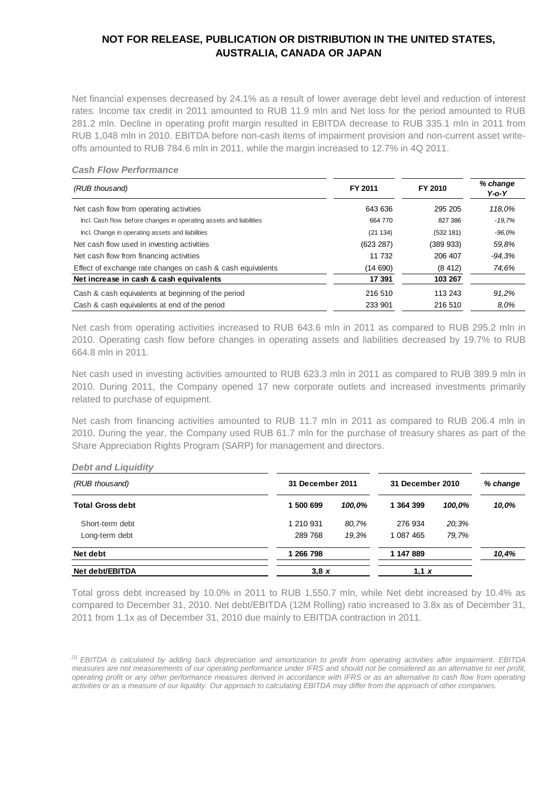Net financial expenses decreased by 24.1% as a result of lower average debt level and reduction of interest rates. Income tax credit in 2011 amounted to RUB 11.9 mln and Net loss for the period amounted to RUB 281.2 mln. Decline in operating profit margin resulted in EBITDA decrease to RUB 335.1 mln in 2011 from RUB 1,048 mln in 2010. EBITDA before non-cash items of impairment provision and non-current asset writeoffs amounted to RUB 784.6 mln in 2011, while the margin increased to 12.7% in 4Q 2011.

#### *Cash Flow Performance*

| (RUB thousand)                                                     | FY 2011   | FY 2010   | % change<br>Y-o-Y |
|--------------------------------------------------------------------|-----------|-----------|-------------------|
| Net cash flow from operating activities                            | 643 636   | 295 205   | 118,0%            |
| Incl. Cash flow before changes in operating assets and liabilities | 664 770   | 827 386   | $-19.7%$          |
| Incl. Change in operating assets and liabilities                   | (21134)   | (532 181) | $-96.0%$          |
| Net cash flow used in investing activities                         | (623 287) | (389933)  | 59,8%             |
| Net cash flow from financing activities                            | 11 732    | 206 407   | $-94.3%$          |
| Effect of exchange rate changes on cash & cash equivalents         | (14 690)  | (8412)    | 74.6%             |
| Net increase in cash & cash equivalents                            | 17 391    | 103 267   |                   |
| Cash & cash equivalents at beginning of the period                 | 216 510   | 113 243   | 91,2%             |
| Cash & cash equivalents at end of the period                       | 233 901   | 216 510   | 8.0%              |

Net cash from operating activities increased to RUB 643.6 mln in 2011 as compared to RUB 295.2 mln in 2010. Operating cash flow before changes in operating assets and liabilities decreased by 19.7% to RUB 664.8 mln in 2011.

Net cash used in investing activities amounted to RUB 623.3 mln in 2011 as compared to RUB 389.9 mln in 2010. During 2011, the Company opened 17 new corporate outlets and increased investments primarily related to purchase of equipment.

Net cash from financing activities amounted to RUB 11.7 mln in 2011 as compared to RUB 206.4 mln in 2010. During the year, the Company used RUB 61.7 mln for the purchase of treasury shares as part of the Share Appreciation Rights Program (SARP) for management and directors.

# *Debt and Liquidity (RUB thousand) % change* **Total Gross debt 1 500 699** *100,0%* **1 364 399** *100,0% 10,0%* Short-term debt 1 210 931 *80,7%* 276 934 *20,3%* Long-term debt 289 768 *19,3%* 1 087 465 *79,7%* **Net debt 1 266 798 1 147 889** *10,4%* **31 December 2011 31 December 2010**

**Net debt/EBITDA 3,8** *x* **1,1** *x*

Total gross debt increased by 10.0% in 2011 to RUB 1,550.7 mln, while Net debt increased by 10.4% as compared to December 31, 2010. Net debt/EBITDA (12M Rolling) ratio increased to 3.8x as of December 31, 2011 from 1.1x as of December 31, 2010 due mainly to EBITDA contraction in 2011.

*<sup>[1]</sup> EBITDA is calculated by adding back depreciation and amortization to profit from operating activities after impairment. EBITDA measures are not measurements of our operating performance under IFRS and should not be considered as an alternative to net profit, operating profit or any other performance measures derived in accordance with IFRS or as an alternative to cash flow from operating activities or as a measure of our liquidity. Our approach to calculating EBITDA may differ from the approach of other companies.*